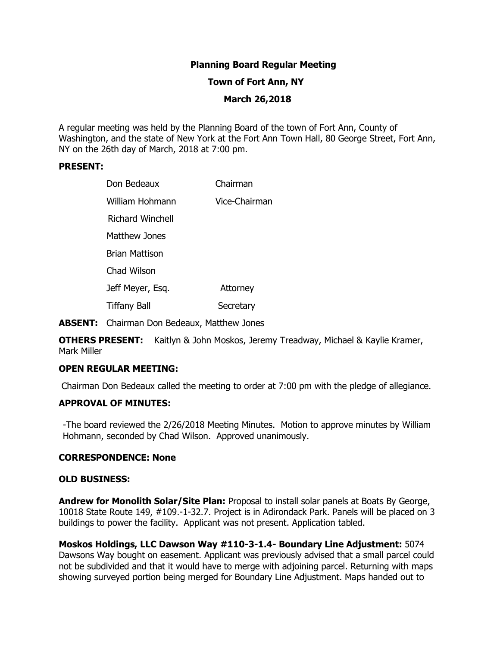# **Planning Board Regular Meeting**

### **Town of Fort Ann, NY**

# **March 26,2018**

A regular meeting was held by the Planning Board of the town of Fort Ann, County of Washington, and the state of New York at the Fort Ann Town Hall, 80 George Street, Fort Ann, NY on the 26th day of March, 2018 at 7:00 pm.

#### **PRESENT:**

| Don Bedeaux           | Chairman      |
|-----------------------|---------------|
| William Hohmann       | Vice-Chairman |
| Richard Winchell      |               |
| Matthew Jones         |               |
| <b>Brian Mattison</b> |               |
| Chad Wilson           |               |
| Jeff Meyer, Esq.      | Attorney      |
| <b>Tiffany Ball</b>   | Secretary     |

**ABSENT:** Chairman Don Bedeaux, Matthew Jones

**OTHERS PRESENT:** Kaitlyn & John Moskos, Jeremy Treadway, Michael & Kaylie Kramer, Mark Miller

# **OPEN REGULAR MEETING:**

Chairman Don Bedeaux called the meeting to order at 7:00 pm with the pledge of allegiance.

### **APPROVAL OF MINUTES:**

-The board reviewed the 2/26/2018 Meeting Minutes. Motion to approve minutes by William Hohmann, seconded by Chad Wilson. Approved unanimously.

#### **CORRESPONDENCE: None**

#### **OLD BUSINESS:**

**Andrew for Monolith Solar/Site Plan:** Proposal to install solar panels at Boats By George, 10018 State Route 149, #109.-1-32.7. Project is in Adirondack Park. Panels will be placed on 3 buildings to power the facility. Applicant was not present. Application tabled.

**Moskos Holdings, LLC Dawson Way #110-3-1.4- Boundary Line Adjustment:** 5074 Dawsons Way bought on easement. Applicant was previously advised that a small parcel could not be subdivided and that it would have to merge with adjoining parcel. Returning with maps showing surveyed portion being merged for Boundary Line Adjustment. Maps handed out to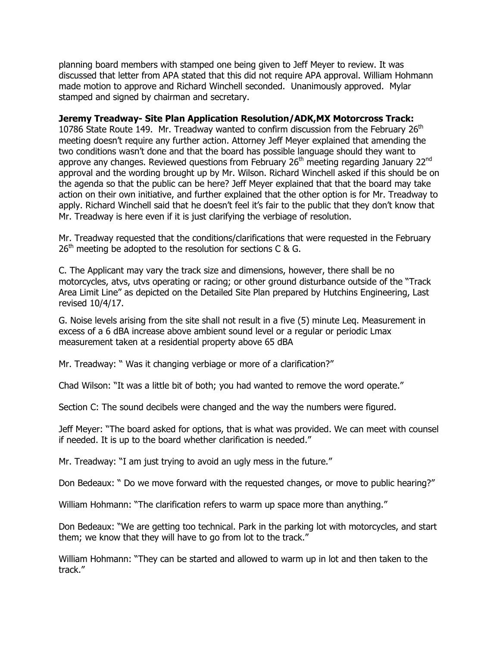planning board members with stamped one being given to Jeff Meyer to review. It was discussed that letter from APA stated that this did not require APA approval. William Hohmann made motion to approve and Richard Winchell seconded. Unanimously approved. Mylar stamped and signed by chairman and secretary.

# **Jeremy Treadway- Site Plan Application Resolution/ADK,MX Motorcross Track:**

10786 State Route 149. Mr. Treadway wanted to confirm discussion from the February  $26<sup>th</sup>$ meeting doesn't require any further action. Attorney Jeff Meyer explained that amending the two conditions wasn't done and that the board has possible language should they want to approve any changes. Reviewed questions from February  $26<sup>th</sup>$  meeting regarding January  $22<sup>nd</sup>$ approval and the wording brought up by Mr. Wilson. Richard Winchell asked if this should be on the agenda so that the public can be here? Jeff Meyer explained that that the board may take action on their own initiative, and further explained that the other option is for Mr. Treadway to apply. Richard Winchell said that he doesn't feel it's fair to the public that they don't know that Mr. Treadway is here even if it is just clarifying the verbiage of resolution.

Mr. Treadway requested that the conditions/clarifications that were requested in the February  $26<sup>th</sup>$  meeting be adopted to the resolution for sections C & G.

C. The Applicant may vary the track size and dimensions, however, there shall be no motorcycles, atvs, utvs operating or racing; or other ground disturbance outside of the "Track Area Limit Line" as depicted on the Detailed Site Plan prepared by Hutchins Engineering, Last revised 10/4/17.

G. Noise levels arising from the site shall not result in a five (5) minute Leq. Measurement in excess of a 6 dBA increase above ambient sound level or a regular or periodic Lmax measurement taken at a residential property above 65 dBA

Mr. Treadway: " Was it changing verbiage or more of a clarification?"

Chad Wilson: "It was a little bit of both; you had wanted to remove the word operate."

Section C: The sound decibels were changed and the way the numbers were figured.

Jeff Meyer: "The board asked for options, that is what was provided. We can meet with counsel if needed. It is up to the board whether clarification is needed."

Mr. Treadway: "I am just trying to avoid an ugly mess in the future."

Don Bedeaux: " Do we move forward with the requested changes, or move to public hearing?"

William Hohmann: "The clarification refers to warm up space more than anything."

Don Bedeaux: "We are getting too technical. Park in the parking lot with motorcycles, and start them; we know that they will have to go from lot to the track."

William Hohmann: "They can be started and allowed to warm up in lot and then taken to the track."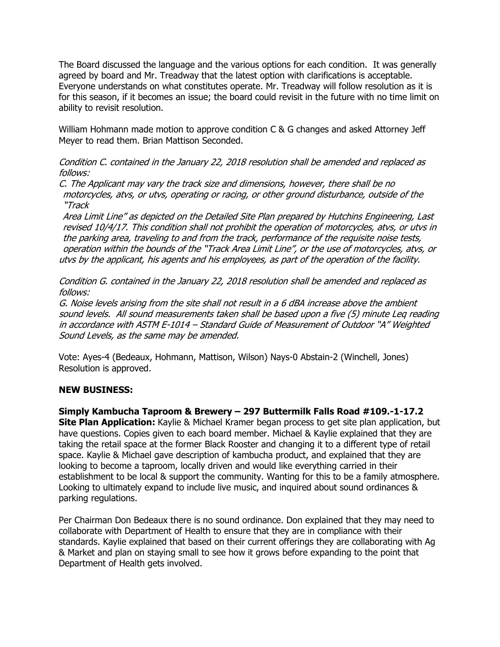The Board discussed the language and the various options for each condition. It was generally agreed by board and Mr. Treadway that the latest option with clarifications is acceptable. Everyone understands on what constitutes operate. Mr. Treadway will follow resolution as it is for this season, if it becomes an issue; the board could revisit in the future with no time limit on ability to revisit resolution.

William Hohmann made motion to approve condition C & G changes and asked Attorney Jeff Meyer to read them. Brian Mattison Seconded.

Condition C. contained in the January 22, 2018 resolution shall be amended and replaced as follows:

C. The Applicant may vary the track size and dimensions, however, there shall be no motorcycles, atvs, or utvs, operating or racing, or other ground disturbance, outside of the "Track

Area Limit Line" as depicted on the Detailed Site Plan prepared by Hutchins Engineering, Last revised 10/4/17. This condition shall not prohibit the operation of motorcycles, atvs, or utvs in the parking area, traveling to and from the track, performance of the requisite noise tests, operation within the bounds of the "Track Area Limit Line", or the use of motorcycles, atvs, or utvs by the applicant, his agents and his employees, as part of the operation of the facility.

Condition G. contained in the January 22, 2018 resolution shall be amended and replaced as follows:

G. Noise levels arising from the site shall not result in a 6 dBA increase above the ambient sound levels. All sound measurements taken shall be based upon a five (5) minute Leq reading in accordance with ASTM E-1014 – Standard Guide of Measurement of Outdoor "A" Weighted Sound Levels, as the same may be amended.

Vote: Ayes-4 (Bedeaux, Hohmann, Mattison, Wilson) Nays-0 Abstain-2 (Winchell, Jones) Resolution is approved.

# **NEW BUSINESS:**

**Simply Kambucha Taproom & Brewery – 297 Buttermilk Falls Road #109.-1-17.2 Site Plan Application:** Kaylie & Michael Kramer began process to get site plan application, but have questions. Copies given to each board member. Michael & Kaylie explained that they are taking the retail space at the former Black Rooster and changing it to a different type of retail space. Kaylie & Michael gave description of kambucha product, and explained that they are looking to become a taproom, locally driven and would like everything carried in their establishment to be local & support the community. Wanting for this to be a family atmosphere. Looking to ultimately expand to include live music, and inquired about sound ordinances & parking regulations.

Per Chairman Don Bedeaux there is no sound ordinance. Don explained that they may need to collaborate with Department of Health to ensure that they are in compliance with their standards. Kaylie explained that based on their current offerings they are collaborating with Ag & Market and plan on staying small to see how it grows before expanding to the point that Department of Health gets involved.